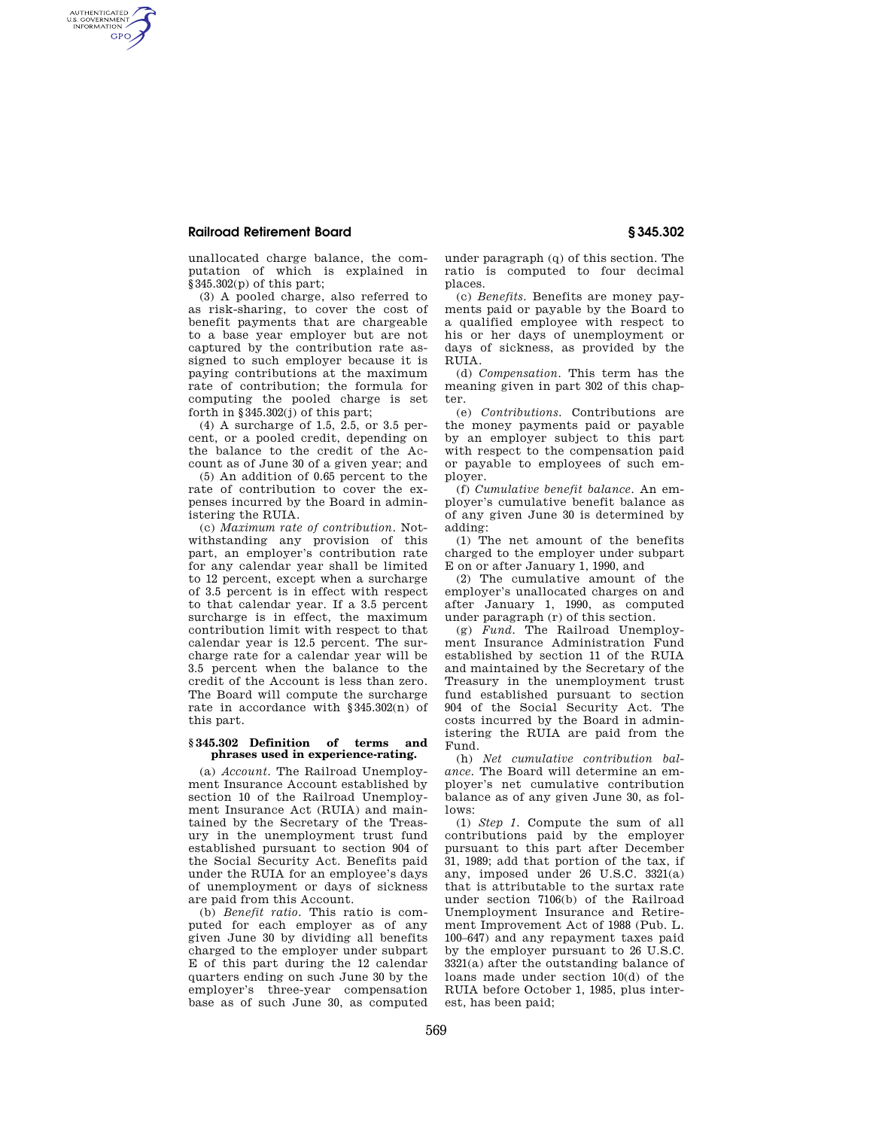## **Railroad Retirement Board § 345.302**

AUTHENTICATED<br>U.S. GOVERNMENT<br>INFORMATION **GPO** 

> unallocated charge balance, the computation of which is explained in §345.302(p) of this part;

(3) A pooled charge, also referred to as risk-sharing, to cover the cost of benefit payments that are chargeable to a base year employer but are not captured by the contribution rate assigned to such employer because it is paying contributions at the maximum rate of contribution; the formula for computing the pooled charge is set forth in  $\S$ 345.302(j) of this part;

(4) A surcharge of 1.5, 2.5, or 3.5 percent, or a pooled credit, depending on the balance to the credit of the Account as of June 30 of a given year; and

(5) An addition of 0.65 percent to the rate of contribution to cover the expenses incurred by the Board in administering the RUIA.

(c) *Maximum rate of contribution.* Notwithstanding any provision of this part, an employer's contribution rate for any calendar year shall be limited to 12 percent, except when a surcharge of 3.5 percent is in effect with respect to that calendar year. If a 3.5 percent surcharge is in effect, the maximum contribution limit with respect to that calendar year is 12.5 percent. The surcharge rate for a calendar year will be 3.5 percent when the balance to the credit of the Account is less than zero. The Board will compute the surcharge rate in accordance with §345.302(n) of this part.

## **§ 345.302 Definition of terms and phrases used in experience-rating.**

(a) *Account.* The Railroad Unemployment Insurance Account established by section 10 of the Railroad Unemployment Insurance Act (RUIA) and maintained by the Secretary of the Treasury in the unemployment trust fund established pursuant to section 904 of the Social Security Act. Benefits paid under the RUIA for an employee's days of unemployment or days of sickness are paid from this Account.

(b) *Benefit ratio.* This ratio is computed for each employer as of any given June 30 by dividing all benefits charged to the employer under subpart E of this part during the 12 calendar quarters ending on such June 30 by the employer's three-year compensation base as of such June 30, as computed

under paragraph (q) of this section. The ratio is computed to four decimal places.

(c) *Benefits.* Benefits are money payments paid or payable by the Board to a qualified employee with respect to his or her days of unemployment or days of sickness, as provided by the RUIA.

(d) *Compensation.* This term has the meaning given in part 302 of this chapter

(e) *Contributions.* Contributions are the money payments paid or payable by an employer subject to this part with respect to the compensation paid or payable to employees of such employer.

(f) *Cumulative benefit balance.* An employer's cumulative benefit balance as of any given June 30 is determined by adding:

(1) The net amount of the benefits charged to the employer under subpart E on or after January 1, 1990, and

(2) The cumulative amount of the employer's unallocated charges on and after January 1, 1990, as computed under paragraph (r) of this section.

(g) *Fund.* The Railroad Unemployment Insurance Administration Fund established by section 11 of the RUIA and maintained by the Secretary of the Treasury in the unemployment trust fund established pursuant to section 904 of the Social Security Act. The costs incurred by the Board in administering the RUIA are paid from the Fund.

(h) *Net cumulative contribution balance.* The Board will determine an employer's net cumulative contribution balance as of any given June 30, as follows:

(1) *Step 1.* Compute the sum of all contributions paid by the employer pursuant to this part after December 31, 1989; add that portion of the tax, if any, imposed under 26 U.S.C. 3321(a) that is attributable to the surtax rate under section 7106(b) of the Railroad Unemployment Insurance and Retirement Improvement Act of 1988 (Pub. L. 100–647) and any repayment taxes paid by the employer pursuant to 26 U.S.C. 3321(a) after the outstanding balance of loans made under section 10(d) of the RUIA before October 1, 1985, plus interest, has been paid;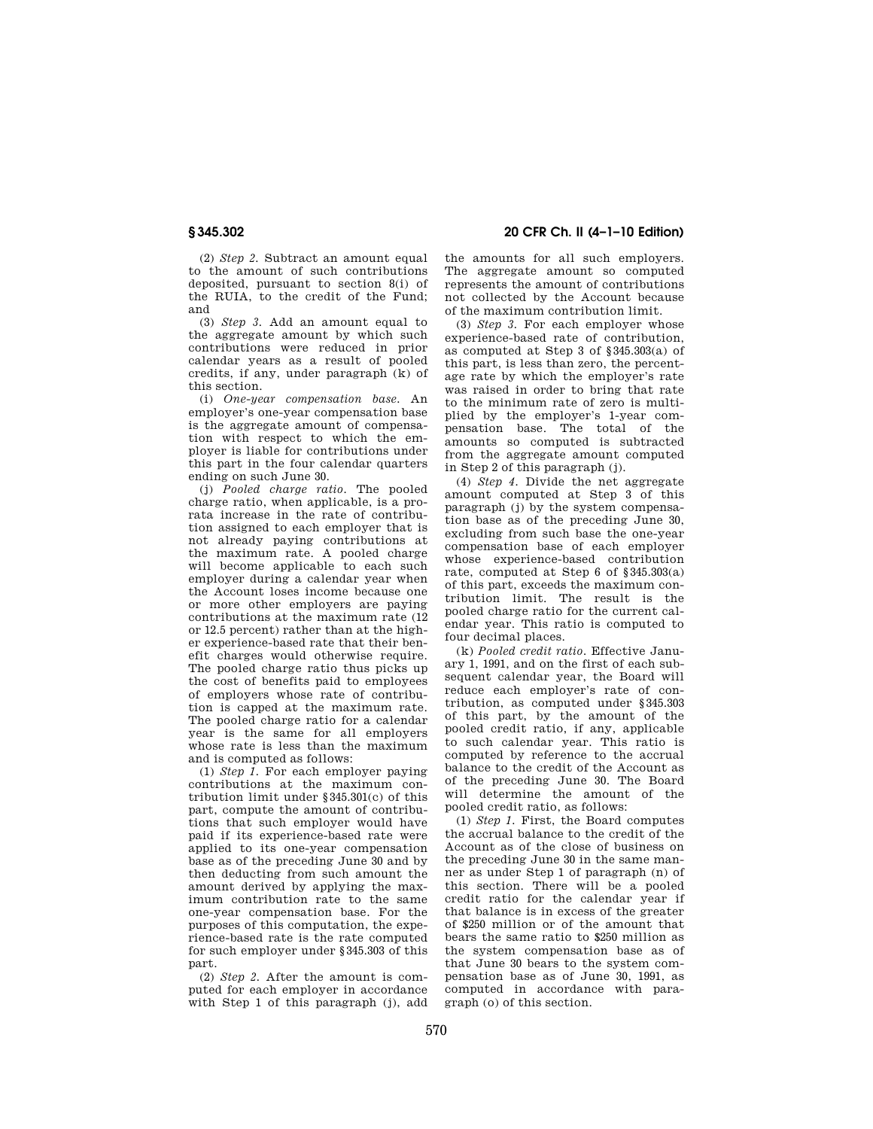**§ 345.302 20 CFR Ch. II (4–1–10 Edition)** 

(2) *Step 2.* Subtract an amount equal to the amount of such contributions deposited, pursuant to section 8(i) of the RUIA, to the credit of the Fund; and

(3) *Step 3.* Add an amount equal to the aggregate amount by which such contributions were reduced in prior calendar years as a result of pooled credits, if any, under paragraph (k) of this section.

(i) *One-year compensation base.* An employer's one-year compensation base is the aggregate amount of compensation with respect to which the employer is liable for contributions under this part in the four calendar quarters ending on such June 30.

(j) *Pooled charge ratio.* The pooled charge ratio, when applicable, is a prorata increase in the rate of contribution assigned to each employer that is not already paying contributions at the maximum rate. A pooled charge will become applicable to each such employer during a calendar year when the Account loses income because one or more other employers are paying contributions at the maximum rate (12 or 12.5 percent) rather than at the higher experience-based rate that their benefit charges would otherwise require. The pooled charge ratio thus picks up the cost of benefits paid to employees of employers whose rate of contribution is capped at the maximum rate. The pooled charge ratio for a calendar year is the same for all employers whose rate is less than the maximum and is computed as follows:

(1) *Step 1.* For each employer paying contributions at the maximum contribution limit under §345.301(c) of this part, compute the amount of contributions that such employer would have paid if its experience-based rate were applied to its one-year compensation base as of the preceding June 30 and by then deducting from such amount the amount derived by applying the maximum contribution rate to the same one-year compensation base. For the purposes of this computation, the experience-based rate is the rate computed for such employer under §345.303 of this part.

(2) *Step 2.* After the amount is computed for each employer in accordance with Step 1 of this paragraph (j), add the amounts for all such employers. The aggregate amount so computed represents the amount of contributions not collected by the Account because of the maximum contribution limit.

(3) *Step 3.* For each employer whose experience-based rate of contribution, as computed at Step 3 of §345.303(a) of this part, is less than zero, the percentage rate by which the employer's rate was raised in order to bring that rate to the minimum rate of zero is multiplied by the employer's 1-year compensation base. The total of the amounts so computed is subtracted from the aggregate amount computed in Step 2 of this paragraph (j).

(4) *Step 4.* Divide the net aggregate amount computed at Step 3 of this paragraph (j) by the system compensation base as of the preceding June 30, excluding from such base the one-year compensation base of each employer whose experience-based contribution rate, computed at Step 6 of §345.303(a) of this part, exceeds the maximum contribution limit. The result is the pooled charge ratio for the current calendar year. This ratio is computed to four decimal places.

(k) *Pooled credit ratio.* Effective January 1, 1991, and on the first of each subsequent calendar year, the Board will reduce each employer's rate of contribution, as computed under §345.303 of this part, by the amount of the pooled credit ratio, if any, applicable to such calendar year. This ratio is computed by reference to the accrual balance to the credit of the Account as of the preceding June 30. The Board will determine the amount of the pooled credit ratio, as follows:

(1) *Step 1.* First, the Board computes the accrual balance to the credit of the Account as of the close of business on the preceding June 30 in the same manner as under Step 1 of paragraph (n) of this section. There will be a pooled credit ratio for the calendar year if that balance is in excess of the greater of \$250 million or of the amount that bears the same ratio to \$250 million as the system compensation base as of that June 30 bears to the system compensation base as of June 30, 1991, as computed in accordance with paragraph (o) of this section.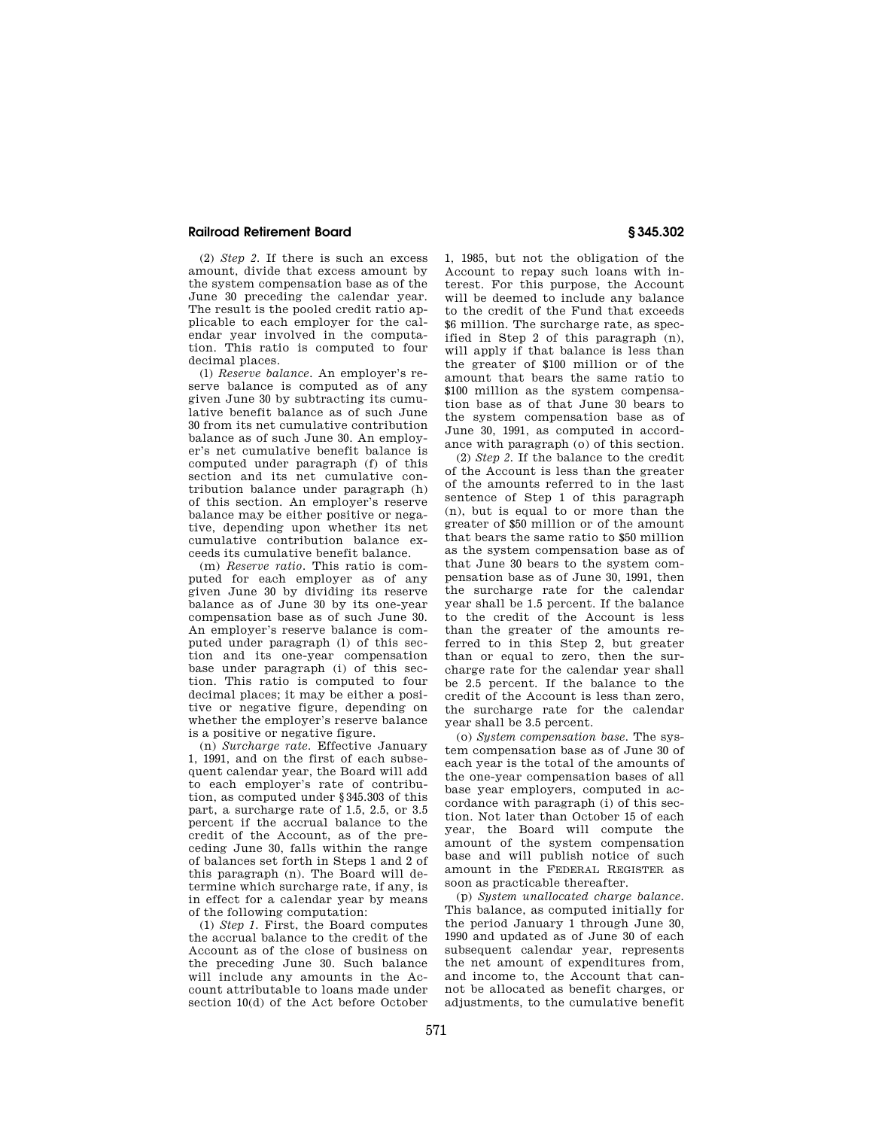## **Railroad Retirement Board § 345.302**

(2) *Step 2.* If there is such an excess amount, divide that excess amount by the system compensation base as of the June 30 preceding the calendar year. The result is the pooled credit ratio applicable to each employer for the calendar year involved in the computation. This ratio is computed to four decimal places.

(l) *Reserve balance.* An employer's reserve balance is computed as of any given June 30 by subtracting its cumulative benefit balance as of such June 30 from its net cumulative contribution balance as of such June 30. An employer's net cumulative benefit balance is computed under paragraph (f) of this section and its net cumulative contribution balance under paragraph (h) of this section. An employer's reserve balance may be either positive or negative, depending upon whether its net cumulative contribution balance exceeds its cumulative benefit balance.

(m) *Reserve ratio.* This ratio is computed for each employer as of any given June 30 by dividing its reserve balance as of June 30 by its one-year compensation base as of such June 30. An employer's reserve balance is computed under paragraph (l) of this section and its one-year compensation base under paragraph (i) of this section. This ratio is computed to four decimal places; it may be either a positive or negative figure, depending on whether the employer's reserve balance is a positive or negative figure.

(n) *Surcharge rate.* Effective January 1, 1991, and on the first of each subsequent calendar year, the Board will add to each employer's rate of contribution, as computed under §345.303 of this part, a surcharge rate of 1.5, 2.5, or 3.5 percent if the accrual balance to the credit of the Account, as of the preceding June 30, falls within the range of balances set forth in Steps 1 and 2 of this paragraph (n). The Board will determine which surcharge rate, if any, is in effect for a calendar year by means of the following computation:

(1) *Step 1.* First, the Board computes the accrual balance to the credit of the Account as of the close of business on the preceding June 30. Such balance will include any amounts in the Account attributable to loans made under section 10(d) of the Act before October 1, 1985, but not the obligation of the Account to repay such loans with interest. For this purpose, the Account will be deemed to include any balance to the credit of the Fund that exceeds \$6 million. The surcharge rate, as specified in Step 2 of this paragraph (n), will apply if that balance is less than the greater of \$100 million or of the amount that bears the same ratio to \$100 million as the system compensation base as of that June 30 bears to the system compensation base as of June 30, 1991, as computed in accordance with paragraph (o) of this section.

(2) *Step 2.* If the balance to the credit of the Account is less than the greater of the amounts referred to in the last sentence of Step 1 of this paragraph (n), but is equal to or more than the greater of \$50 million or of the amount that bears the same ratio to \$50 million as the system compensation base as of that June 30 bears to the system compensation base as of June 30, 1991, then the surcharge rate for the calendar year shall be 1.5 percent. If the balance to the credit of the Account is less than the greater of the amounts referred to in this Step 2, but greater than or equal to zero, then the surcharge rate for the calendar year shall be 2.5 percent. If the balance to the credit of the Account is less than zero, the surcharge rate for the calendar year shall be 3.5 percent.

(o) *System compensation base.* The system compensation base as of June 30 of each year is the total of the amounts of the one-year compensation bases of all base year employers, computed in accordance with paragraph (i) of this section. Not later than October 15 of each year, the Board will compute the amount of the system compensation base and will publish notice of such amount in the FEDERAL REGISTER as soon as practicable thereafter.

(p) *System unallocated charge balance.*  This balance, as computed initially for the period January 1 through June 30, 1990 and updated as of June 30 of each subsequent calendar year, represents the net amount of expenditures from, and income to, the Account that cannot be allocated as benefit charges, or adjustments, to the cumulative benefit